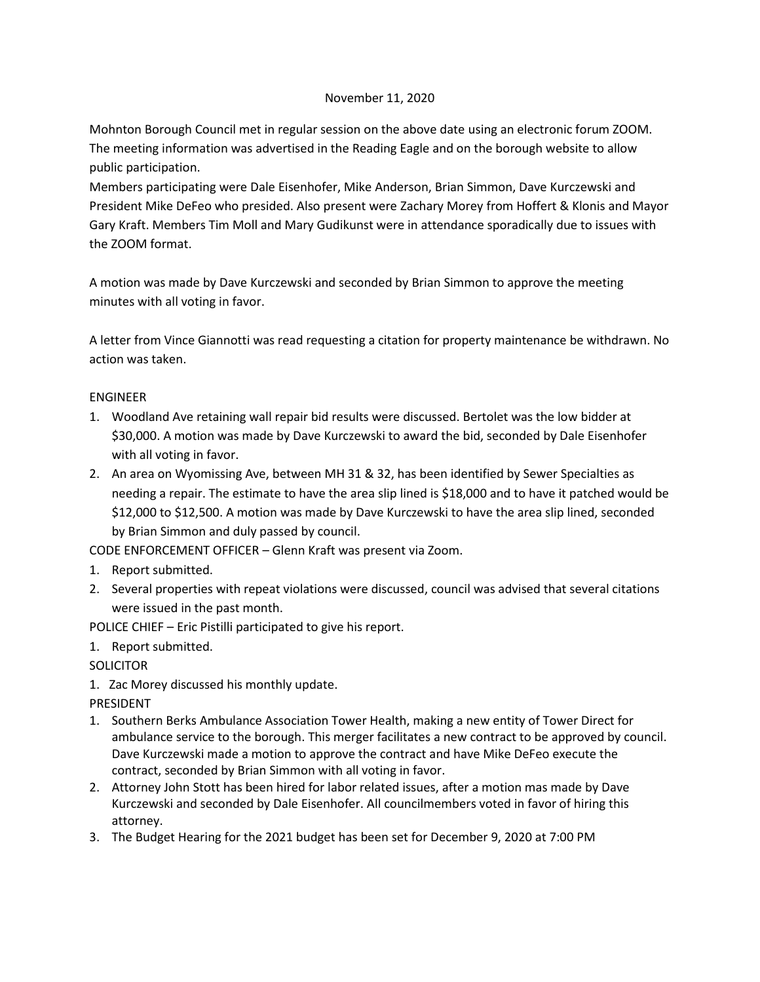## November 11, 2020

Mohnton Borough Council met in regular session on the above date using an electronic forum ZOOM. The meeting information was advertised in the Reading Eagle and on the borough website to allow public participation.

Members participating were Dale Eisenhofer, Mike Anderson, Brian Simmon, Dave Kurczewski and President Mike DeFeo who presided. Also present were Zachary Morey from Hoffert & Klonis and Mayor Gary Kraft. Members Tim Moll and Mary Gudikunst were in attendance sporadically due to issues with the ZOOM format.

A motion was made by Dave Kurczewski and seconded by Brian Simmon to approve the meeting minutes with all voting in favor.

A letter from Vince Giannotti was read requesting a citation for property maintenance be withdrawn. No action was taken.

# ENGINEER

- 1. Woodland Ave retaining wall repair bid results were discussed. Bertolet was the low bidder at \$30,000. A motion was made by Dave Kurczewski to award the bid, seconded by Dale Eisenhofer with all voting in favor.
- 2. An area on Wyomissing Ave, between MH 31 & 32, has been identified by Sewer Specialties as needing a repair. The estimate to have the area slip lined is \$18,000 and to have it patched would be \$12,000 to \$12,500. A motion was made by Dave Kurczewski to have the area slip lined, seconded by Brian Simmon and duly passed by council.

CODE ENFORCEMENT OFFICER – Glenn Kraft was present via Zoom.

- 1. Report submitted.
- 2. Several properties with repeat violations were discussed, council was advised that several citations were issued in the past month.

POLICE CHIEF – Eric Pistilli participated to give his report.

1. Report submitted.

**SOLICITOR** 

1. Zac Morey discussed his monthly update.

PRESIDENT

- 1. Southern Berks Ambulance Association Tower Health, making a new entity of Tower Direct for ambulance service to the borough. This merger facilitates a new contract to be approved by council. Dave Kurczewski made a motion to approve the contract and have Mike DeFeo execute the contract, seconded by Brian Simmon with all voting in favor.
- 2. Attorney John Stott has been hired for labor related issues, after a motion mas made by Dave Kurczewski and seconded by Dale Eisenhofer. All councilmembers voted in favor of hiring this attorney.
- 3. The Budget Hearing for the 2021 budget has been set for December 9, 2020 at 7:00 PM